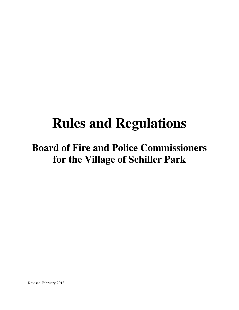# **Rules and Regulations**

## **Board of Fire and Police Commissioners for the Village of Schiller Park**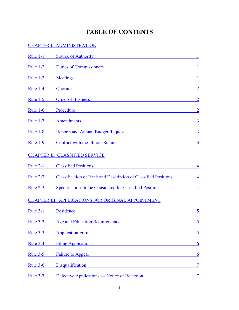## **TABLE OF CONTENTS**

#### [CHAPTER I: ADMINISTRATION](#page-5-0)

| Rule $1-1$      | <b>Source of Authority</b>                                                                                                                                                                                                     |                 |
|-----------------|--------------------------------------------------------------------------------------------------------------------------------------------------------------------------------------------------------------------------------|-----------------|
| Rule $1-2$      | Duties of Commissioners and the commissioners and the commissioners and the commissioners are also been as a set of $\alpha$                                                                                                   | $\mathbf{1}$    |
| <b>Rule 1-3</b> | Meetings<br><u> 1989 - Johann Stein, marwolaethau (b. 1989)</u>                                                                                                                                                                | 1               |
| Rule $1-4$      | Quorum<br><u> 1989 - Johann Stein, mars an deus Amerikaansk kommunister (* 1958)</u>                                                                                                                                           | $\overline{2}$  |
| Rule $1-5$      | Order of Business and the contract of Business and the contract of Business and the contract of Business and the contract of the contract of the contract of the contract of the contract of the contract of the contract of t | $\overline{2}$  |
| Rule $1-6$      | Procedure                                                                                                                                                                                                                      | $\overline{2}$  |
| <b>Rule 1-7</b> | Amendments and the contract of the contract of the contract of the contract of the contract of the contract of                                                                                                                 | $\overline{3}$  |
| Rule $1-8$      | Reports and Annual Budget Request                                                                                                                                                                                              | 3               |
| <b>Rule 1-9</b> | <b>Conflict with the Illinois Statutes</b>                                                                                                                                                                                     | 3               |
|                 | <b>CHAPTER II: CLASSIFIED SERVICE</b>                                                                                                                                                                                          |                 |
| Rule $2-1$      | <b>Classified Positions</b>                                                                                                                                                                                                    | 4               |
| Rule $2-2$      | <b>Classification of Rank and Description of Classified Positions</b>                                                                                                                                                          | $\overline{4}$  |
| Rule $2-3$      | Specifications to be Considered for Classified Positions                                                                                                                                                                       | $\overline{4}$  |
|                 | CHAPTER III: APPLICATIONS FOR ORIGINAL APPOINTMENT                                                                                                                                                                             |                 |
| <b>Rule 3-1</b> | Residence<br><u> 1989 - Johann Stein, marwolaethau (b. 1989)</u>                                                                                                                                                               | 5               |
| Rule 3-2        | <b>Age and Education Requirements</b>                                                                                                                                                                                          | 5               |
| <b>Rule 3-3</b> | <b>Application Forms</b>                                                                                                                                                                                                       | 5               |
| <b>Rule 3-4</b> | <b>Filing Applications</b>                                                                                                                                                                                                     | $6\overline{6}$ |
| <b>Rule 3-5</b> | <b>Failure to Appear</b>                                                                                                                                                                                                       | 6               |
| Rule 3-6        | <b>Disqualification</b>                                                                                                                                                                                                        | $\overline{7}$  |
| <b>Rule 3-7</b> | Defective Applications — Notice of Rejection                                                                                                                                                                                   | $\overline{7}$  |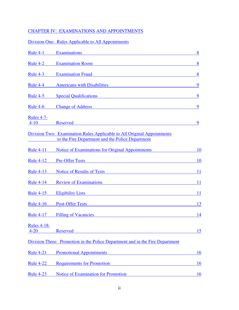## [CHAPTER IV: EXAMINATIONS AND APPOINTMENTS](#page-12-0)

## [Division One: Rules Applicable to All Appointments](#page-12-0)

| <b>Rule 4-1</b>                | <b>Examinations</b>                                                                                                                                      | 8         |
|--------------------------------|----------------------------------------------------------------------------------------------------------------------------------------------------------|-----------|
| Rule 4-2                       | <b>Examination Room</b><br><u>and the state of the state of the state of the state of the state of the state of the state of the state of th</u>         | 8         |
| Rule 4-3                       | <b>Examination Fraud</b><br><u> 1989 - Johann Stoff, deutscher Stoff, der Stoff, der Stoff, der Stoff, der Stoff, der Stoff, der Stoff, der S</u>        | 8         |
| Rule 4-4                       | <b>Americans with Disabilities</b>                                                                                                                       | 9         |
| Rule 4-5                       | <b>Special Qualifications</b>                                                                                                                            | 9         |
| Rule $4-6$                     | <b>Change of Address</b>                                                                                                                                 | 9         |
| <b>Rules 4-7-</b><br>$4-10$    | <b>Reserved</b>                                                                                                                                          | 9         |
|                                | Division Two: Examination Rules Applicable to All Original Appointments<br>to the Fire Department and the Police Department                              |           |
| <b>Rule 4-11</b>               | Notice of Examinations for Original Appointments                                                                                                         | 10        |
| <b>Rule 4-12</b>               | <b>Pre-Offer Tests</b><br><u> 1989 - Johann Stein, mars an de Frankryk († 1958)</u>                                                                      | <u>10</u> |
| <b>Rule 4-13</b>               | Notice of Results of Tests                                                                                                                               | 11        |
| <b>Rule 4-14</b>               | <b>Review of Examinations</b>                                                                                                                            | 11        |
| <b>Rule 4-15</b>               | <b>Eligibility Lists</b>                                                                                                                                 | 11        |
| <b>Rule 4-16</b>               | <b>Post-Offer Tests</b>                                                                                                                                  | 13        |
| <b>Rule 4-17</b>               | <b>Filling of Vacancies</b>                                                                                                                              | <u>14</u> |
| <b>Rules 4-18-</b><br>$4 - 20$ | <b>Reserved</b>                                                                                                                                          | 15        |
|                                | Division Three: Promotion in the Police Department and in the Fire Department                                                                            |           |
| <b>Rule 4-21</b>               | <b>Promotional Appointments</b><br><u> 1980 - Jan Stein, mars ann an t-Amhain an t-Amhain an t-Amhain an t-Amhain an t-Amhain an t-Amhain an t-Amhai</u> | <u>16</u> |
| <b>Rule 4-22</b>               | <b>Requirements for Promotion</b>                                                                                                                        | 16        |
| <b>Rule 4-23</b>               | Notice of Examination for Promotion                                                                                                                      | <u>16</u> |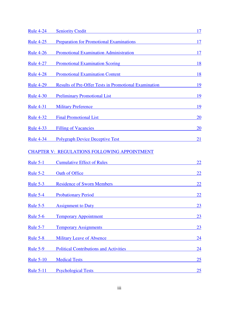| <b>Rule 4-24</b> | <b>Seniority Credit</b>                                                                                                                                                                                                             | 17        |
|------------------|-------------------------------------------------------------------------------------------------------------------------------------------------------------------------------------------------------------------------------------|-----------|
| <b>Rule 4-25</b> | <b>Preparation for Promotional Examinations</b>                                                                                                                                                                                     | 17        |
| <b>Rule 4-26</b> | <b>Promotional Examination Administration</b>                                                                                                                                                                                       | 17        |
| <b>Rule 4-27</b> | <b>Promotional Examination Scoring</b>                                                                                                                                                                                              | <u>18</u> |
| <u>Rule 4-28</u> | <b>Promotional Examination Content</b>                                                                                                                                                                                              | 18        |
| <b>Rule 4-29</b> | <b>Results of Pre-Offer Tests in Promotional Examination</b>                                                                                                                                                                        | 19        |
| <b>Rule 4-30</b> | <b>Preliminary Promotional List</b>                                                                                                                                                                                                 | 19        |
| <b>Rule 4-31</b> | <b>Military Preference</b>                                                                                                                                                                                                          | 19        |
| <b>Rule 4-32</b> | <b>Final Promotional List</b> Services of Services Services and Services Services Services Services Services Services Services Services Services Services Services Services Services Services Services Services Services Services S | 20        |
| <b>Rule 4-33</b> | <b>Filling of Vacancies</b><br><u> 1989 - Johann Barn, mars ann an t-Amhain Aonaich an t-Aonaich an t-Aonaich ann an t-Aonaich ann an t-Aonaich</u>                                                                                 | <u>20</u> |
| <b>Rule 4-34</b> | <b>Polygraph Device Deceptive Test</b>                                                                                                                                                                                              | <u>21</u> |
|                  | <b>CHAPTER V: REGULATIONS FOLLOWING APPOINTMENT</b>                                                                                                                                                                                 |           |
| <b>Rule 5-1</b>  | <b>Cumulative Effect of Rules</b>                                                                                                                                                                                                   | <u>22</u> |
| <u>Rule 5-2</u>  | Oath of Office<br><u> 1989 - Johann Stein, mars an deus Amerikaansk kommunister (</u>                                                                                                                                               | <u>22</u> |
| Rule $5-3$       | <b>Residence of Sworn Members</b>                                                                                                                                                                                                   | 22        |
| Rule 5-4         | <b>Probationary Period</b>                                                                                                                                                                                                          | <u>22</u> |
| <b>Rule 5-5</b>  | <b>Assignment to Duty</b>                                                                                                                                                                                                           | 23        |
| <b>Rule 5-6</b>  | <b>Temporary Appointment</b>                                                                                                                                                                                                        | 23        |
| <b>Rule 5-7</b>  | <b>Temporary Assignments</b>                                                                                                                                                                                                        | 23        |
| <b>Rule 5-8</b>  | <b>Military Leave of Absence</b>                                                                                                                                                                                                    | 24        |
| <b>Rule 5-9</b>  | <b>Political Contributions and Activities</b>                                                                                                                                                                                       | <u>24</u> |
| <b>Rule 5-10</b> | <b>Medical Tests</b><br><u> 1989 - Johann Barn, mars ann an t-Amhain an t-Amhain an t-Amhain an t-Amhain an t-Amhain an t-Amhain an t-Amh</u>                                                                                       | 25        |
| <b>Rule 5-11</b> | <b>Psychological Tests</b><br><u> 1989 - Johann Stein, mars an t-Amerikaansk kommunister (</u>                                                                                                                                      | 25        |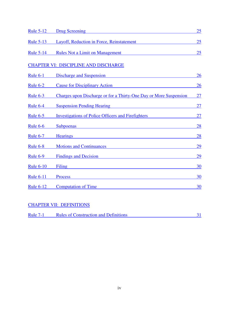| <b>Rule 5-12</b> | <b>Drug Screening</b>                                                                                                                                      | 25        |
|------------------|------------------------------------------------------------------------------------------------------------------------------------------------------------|-----------|
| <b>Rule 5-13</b> | Layoff, Reduction in Force, Reinstatement                                                                                                                  | 25        |
| <b>Rule 5-14</b> | <b>Rules Not a Limit on Management</b>                                                                                                                     | 25        |
|                  | <b>CHAPTER VI: DISCIPLINE AND DISCHARGE</b>                                                                                                                |           |
| Rule $6-1$       | Discharge and Suspension                                                                                                                                   | 26        |
| Rule $6-2$       | <b>Cause for Disciplinary Action</b>                                                                                                                       | 26        |
| Rule $6-3$       | Charges upon Discharge or for a Thirty-One Day or More Suspension                                                                                          | 27        |
| Rule 6-4         | <b>Suspension Pending Hearing</b><br><u> 1989 - Johann Harry Harry Harry Harry Harry Harry Harry Harry Harry Harry Harry Harry Harry Harry Harry Harry</u> | <u>27</u> |
| Rule $6-5$       | <b>Investigations of Police Officers and Firefighters</b>                                                                                                  | 27        |
| <b>Rule 6-6</b>  | Subpoenas                                                                                                                                                  | 28        |
| <b>Rule 6-7</b>  | <b>Hearings</b>                                                                                                                                            | 28        |
| <b>Rule 6-8</b>  | <b>Motions and Continuances</b>                                                                                                                            | <u>29</u> |
| <b>Rule 6-9</b>  | <b>Findings and Decision</b>                                                                                                                               | <u>29</u> |
| <b>Rule 6-10</b> | <b>Filing</b>                                                                                                                                              | 30        |
| <b>Rule 6-11</b> | <b>Process</b>                                                                                                                                             | 30        |
| <b>Rule 6-12</b> | <b>Computation of Time</b>                                                                                                                                 | 30        |

#### [CHAPTER VII: DEFINITIONS](#page-35-0)

| <b>Rule 7-1</b> | <b>Rules of Construction and Definitions</b> |  |
|-----------------|----------------------------------------------|--|
|                 |                                              |  |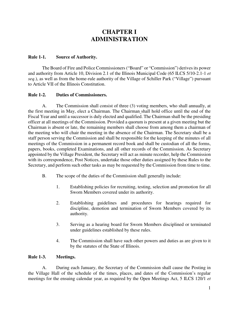## **CHAPTER I ADMINISTRATION**

#### <span id="page-5-0"></span>**Rule 1-1. Source of Authority.**

The Board of Fire and Police Commissioners ("Board" or "Commission") derives its power and authority from Article 10, Division 2.1 of the Illinois Municipal Code (65 ILCS 5/10-2.1-1 *et seq*.), as well as from the home-rule authority of the Village of Schiller Park ("Village") pursuant to Article VII of the Illinois Constitution.

#### **Rule 1-2. Duties of Commissioners.**

A. The Commission shall consist of three (3) voting members, who shall annually, at the first meeting in May, elect a Chairman. The Chairman shall hold office until the end of the Fiscal Year and until a successor is duly elected and qualified. The Chairman shall be the presiding officer at all meetings of the Commission. Provided a quorum is present at a given meeting but the Chairman is absent or late, the remaining members shall choose from among them a chairman of the meeting who will chair the meeting in the absence of the Chairman. The Secretary shall be a staff person serving the Commission and shall be responsible for the keeping of the minutes of all meetings of the Commission in a permanent record book and shall be custodian of all the forms, papers, books, completed Examinations, and all other records of the Commission. As Secretary appointed by the Village President, the Secretary will act as minute recorder, help the Commission with its correspondence, Post Notices, undertake those other duties assigned by these Rules to the Secretary, and perform such other tasks as may be requested by the Commission from time to time.

- B. The scope of the duties of the Commission shall generally include:
	- 1. Establishing policies for recruiting, testing, selection and promotion for all Sworn Members covered under its authority.
	- 2. Establishing guidelines and procedures for hearings required for discipline, demotion and termination of Sworn Members covered by its authority.
	- 3. Serving as a hearing board for Sworn Members disciplined or terminated under guidelines established by these rules.
	- 4. The Commission shall have such other powers and duties as are given to it by the statutes of the State of Illinois.

#### **Rule 1-3. Meetings.**

A. During each January, the Secretary of the Commission shall cause the Posting in the Village Hall of the schedule of the times, places, and dates of the Commission's regular meetings for the ensuing calendar year, as required by the Open Meetings Act, 5 ILCS 120/1 *et*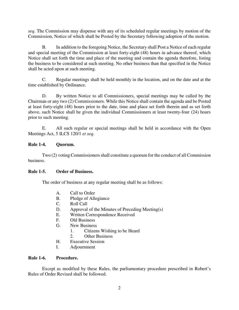<span id="page-6-0"></span>*seq*. The Commission may dispense with any of its scheduled regular meetings by motion of the Commission, Notice of which shall be Posted by the Secretary following adoption of the motion.

B. In addition to the foregoing Notice, the Secretary shall Post a Notice of each regular and special meeting of the Commission at least forty-eight (48) hours in advance thereof, which Notice shall set forth the time and place of the meeting and contain the agenda therefore, listing the business to be considered at such meeting. No other business than that specified in the Notice shall be acted upon at such meeting.

C. Regular meetings shall be held monthly in the location, and on the date and at the time established by Ordinance.

D. By written Notice to all Commissioners, special meetings may be called by the Chairman or any two (2) Commissioners. While this Notice shall contain the agenda and be Posted at least forty-eight (48) hours prior to the date, time and place set forth therein and as set forth above, such Notice shall be given the individual Commissioners at least twenty-four (24) hours prior to such meeting.

E. All such regular or special meetings shall be held in accordance with the Open Meetings Act, 5 ILCS 120/1 *et seq*.

#### **Rule 1-4. Quorum.**

Two (2) voting Commissioners shall constitute a quorum for the conduct of all Commission business.

#### **Rule 1-5. Order of Business.**

The order of business at any regular meeting shall be as follows:

- A. Call to Order
- B. Pledge of Allegiance
- C. Roll Call
- D. Approval of the Minutes of Preceding Meeting(s)
- E. Written Correspondence Received
- F. Old Business
- G. New Business
	- 1. Citizens Wishing to be Heard
	- 2. Other Business
- H. Executive Session
- I. Adjournment

#### **Rule 1-6. Procedure.**

Except as modified by these Rules, the parliamentary procedure prescribed in Robert's Rules of Order Revised shall be followed.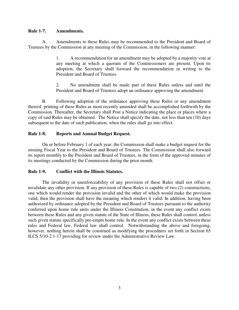#### <span id="page-7-0"></span>**Rule 1-7. Amendments.**

A. Amendments to these Rules may be recommended to the President and Board of Trustees by the Commission at any meeting of the Commission, in the following manner:

> 1. A recommendation for an amendment may be adopted by a majority vote at any meeting at which a quorum of the Commissioners are present. Upon its adoption, the Secretary shall forward the recommendation in writing to the President and Board of Trustees.

> 2. No amendment shall be made part of these Rules unless and until the President and Board of Trustees adopt an ordinance approving the amendment.

B. Following adoption of the ordinance approving these Rules or any amendment thereof, printing of these Rules as most recently amended shall be accomplished forthwith by the Commission. Thereafter, the Secretary shall Post a Notice indicating the place or places where a copy of said Rules may be obtained. The Notice shall specify the date, not less than ten (10) days subsequent to the date of such publication, when the rules shall go into effect.

#### **Rule 1-8. Reports and Annual Budget Request.**

On or before February 1 of each year, the Commission shall make a budget request for the ensuing Fiscal Year to the President and Board of Trustees. The Commission shall also forward its report monthly to the President and Board of Trustees, in the form of the approved minutes of its meetings conducted by the Commission during the prior month.

#### **Rule 1-9. Conflict with the Illinois Statutes.**

The invalidity or unenforceability of any provision of these Rules shall not offset or invalidate any other provision. If any provision of these Rules is capable of two (2) constructions, one which would render the provision invalid and the other of which would make the provision valid, then the provision shall have the meaning which renders it valid. In addition, having been authorized by ordinance adopted by the President and Board of Trustees pursuant to the authority conferred upon home rule units under the Illinois Constitution, in the event any conflict exists between these Rules and any given statute of the State of Illinois, these Rules shall control, unless such given statute specifically pre-empts home rule. In the event any conflict exists between these rules and Federal law, Federal law shall control. Notwithstanding the above and foregoing, however, nothing herein shall be construed as modifying the procedures set forth in Section 65 ILCS 5/10-2.1-17 providing for review under the Administrative Review Law.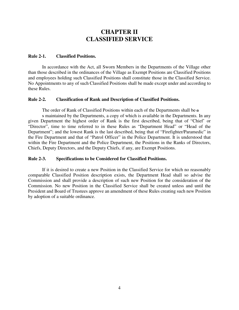## **CHAPTER II CLASSIFIED SERVICE**

#### <span id="page-8-0"></span>**Rule 2-1. Classified Positions.**

In accordance with the Act, all Sworn Members in the Departments of the Village other than those described in the ordinances of the Village as Exempt Positions are Classified Positions and employees holding such Classified Positions shall constitute those in the Classified Service. No Appointments to any of such Classified Positions shall be made except under and according to these Rules.

#### **Rule 2-2. Classification of Rank and Description of Classified Positions.**

The order of Rank of Classified Positions within each of the Departments shall be a

s maintained by the Departments, a copy of which is available in the Departments. In any given Department the highest order of Rank is the first described, being that of "Chief' or "Director", time to time referred to in these Rules as "Department Head" or "Head of the Department"; and the lowest Rank is the last described, being that of "Firefighter/Paramedic" in the Fire Department and that of "Patrol Officer" in the Police Department. It is understood that within the Fire Department and the Police Department, the Positions in the Ranks of Directors, Chiefs, Deputy Directors, and the Deputy Chiefs, if any, are Exempt Positions.

#### **Rule 2-3. Specifications to be Considered for Classified Positions.**

If it is desired to create a new Position in the Classified Service for which no reasonably comparable Classified Position description exists, the Department Head shall so advise the Commission and shall provide a description of such new Position for the consideration of the Commission. No new Position in the Classified Service shall be created unless and until the President and Board of Trustees approve an amendment of these Rules creating such new Position by adoption of a suitable ordinance.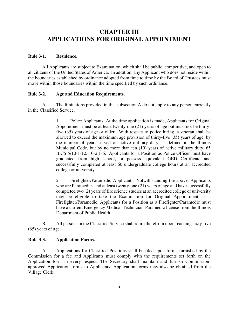## <span id="page-9-0"></span>**CHAPTER III APPLICATIONS FOR ORIGINAL APPOINTMENT**

#### **Rule 3-1. Residence.**

 All Applicants are subject to Examination, which shall be public, competitive, and open to all citizens of the United States of America. In addition, any Applicant who does not reside within the boundaries established by ordinance adopted from time to time by the Board of Trustees must move within those boundaries within the time specified by such ordinance.

#### **Rule 3-2. Age and Education Requirements.**

A. The limitations provided in this subsection A do not apply to any person currently in the Classified Service.

> 1. Police Applicants: At the time application is made, Applicants for Original Appointment must be at least twenty-one (21) years of age but must not be thirtyfive (35) years of age or older. With respect to police hiring, a veteran shall be allowed to exceed the maximum age provision of thirty-five (35) years of age, by the number of years served on active military duty, as defined in the Illinois Municipal Code, but by no more than ten (10) years of active military duty. 65 ILCS 5/10-1-12, 10-2.1-6. Applicants for a Position as Police Officer must have graduated from high school, or possess equivalent GED Certificate and successfully completed at least 60 undergraduate college hours at an accredited college or university.

> 2. Firefighter/Paramedic Applicants: Notwithstanding the above, Applicants who are Paramedics and at least twenty-one (21) years of age and have successfully completed two (2) years of fire science studies at an accredited college or university may be eligible to take the Examination for Original Appointment as a Firefighter/Paramedic. Applicants for a Position as a Firefighter/Paramedic must have a current Emergency Medical Technician-Paramedic license from the Illinois Department of Public Health.

B. All persons in the Classified Service shall retire therefrom upon reaching sixty-five (65) years of age.

#### **Rule 3-3. Application Forms.**

A. Applications for Classified Positions shall be filed upon forms furnished by the Commission for a fee and Applicants must comply with the requirements set forth on the Application form in every respect. The Secretary shall maintain and furnish Commissionapproved Application forms to Applicants. Application forms may also be obtained from the Village Clerk.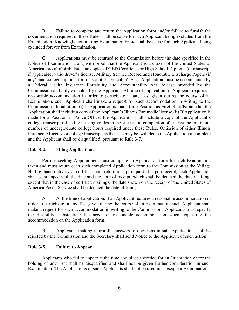<span id="page-10-0"></span>B. Failure to complete and return the Application form and/or failure to furnish the documentation required in these Rules shall be cause for such Applicant being excluded from the Examination. Knowingly committing Examination Fraud shall be cause for such Applicant being excluded forever from Examination.

 C. Applications must be returned to the Commission before the date specified in the Notice of Examination along with proof that the Applicant is a citizen of the United States of America; proof of birth date; and copies of GED Certificate or High School Diploma (or transcript if applicable; valid driver's license; Military Service Record and Honorable Discharge Papers (if any); and college diploma (or transcript if applicable). Each Application must be accompanied by a Federal Health Insurance Portability and Accountability Act Release provided by the Commission and duly executed by the Applicant. At time of application, if Applicant requires a reasonable accommodation in order to participate in any Test given during the course of an Examination, such Applicant shall make a request for such accommodation in writing to the Commission. In addition: (i) If Application is made for a Position as Firefighter/Paramedic, the Application shall include a copy of the Applicant's Illinois Paramedic license (ii) If Application is made for a Position as Police Officer the Application shall include a copy of the Applicant's college transcript reflecting passing grades in the successful completion of at least the minimum number of undergraduate college hours required under these Rules. Omission of either Illinois Paramedic License or college transcript, as the case may be, will deem the Application incomplete and the Applicant shall be disqualified, pursuant to Rule 3-7.

#### **Rule 3-4. Filing Applications.**

Persons seeking Appointment must complete an Application form for each Examination taken and must return each such completed Application form to the Commission at the Village Hall by hand delivery or certified mail, return receipt requested. Upon receipt, each Application shall be stamped with the date and the hour of receipt, which shall be deemed the date of filing; except that in the case of certified mailings, the date shown on the receipt of the United States of America Postal Service shall be deemed the date of filing.

A. At the time of application, if an Applicant requires a reasonable accommodation in order to participate in any Test given during the course of an Examination, such Applicant shall make a request for such accommodation in writing to the Commission. Applicants must specify the disability; substantiate the need for reasonable accommodation when requesting the accommodation on the Application form.

B. Applicants making untruthful answers to questions in said Application shall be rejected by the Commission and the Secretary shall send Notice to the Applicant of such action.

#### **Rule 3-5. Failure to Appear.**

Applicants who fail to appear at the time and place specified for an Orientation or for the holding of any Test shall be disqualified and shall not be given further consideration in such Examination. The Applications of such Applicants shall not be used in subsequent Examinations.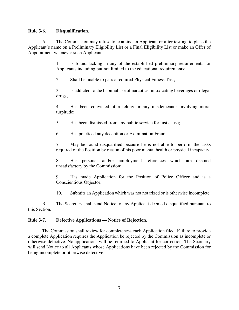#### <span id="page-11-0"></span>**Rule 3-6. Disqualification.**

A. The Commission may refuse to examine an Applicant or after testing, to place the Applicant's name on a Preliminary Eligibility List or a Final Eligibility List or make an Offer of Appointment whenever such Applicant:

> 1. Is found lacking in any of the established preliminary requirements for Applicants including but not limited to the educational requirements;

2. Shall be unable to pass a required Physical Fitness Test;

3. Is addicted to the habitual use of narcotics, intoxicating beverages or illegal drugs;

4. Has been convicted of a felony or any misdemeanor involving moral turpitude;

5. Has been dismissed from any public service for just cause;

6. Has practiced any deception or Examination Fraud;

7. May be found disqualified because he is not able to perform the tasks required of the Position by reason of his poor mental health or physical incapacity;

8. Has personal and/or employment references which are deemed unsatisfactory by the Commission;

9. Has made Application for the Position of Police Officer and is a Conscientious Objector;

10. Submits an Application which was not notarized or is otherwise incomplete.

B. The Secretary shall send Notice to any Applicant deemed disqualified pursuant to this Section.

#### **Rule 3-7. Defective Applications — Notice of Rejection.**

The Commission shall review for completeness each Application filed. Failure to provide a complete Application requires the Application be rejected by the Commission as incomplete or otherwise defective. No applications will be returned to Applicant for correction. The Secretary will send Notice to all Applicants whose Applications have been rejected by the Commission for being incomplete or otherwise defective.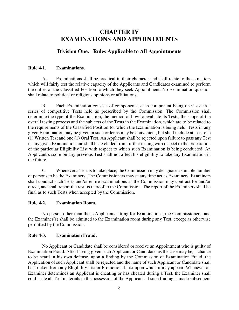## <span id="page-12-0"></span>**CHAPTER IV EXAMINATIONS AND APPOINTMENTS**

#### **Division One. Rules Applicable to All Appointments**

#### **Rule 4-1. Examinations.**

A. Examinations shall be practical in their character and shall relate to those matters which will fairly test the relative capacity of the Applicants and Candidates examined to perform the duties of the Classified Position to which they seek Appointment. No Examination question shall relate to political or religious opinions or affiliations.

B. Each Examination consists of components, each component being one Test in a series of competitive Tests held as prescribed by the Commission. The Commission shall determine the type of the Examination, the method of how to evaluate its Tests, the scope of the overall testing process and the subjects of the Tests in the Examination, which are to be related to the requirements of the Classified Position for which the Examination is being held. Tests in any given Examination may be given in such order as may be convenient, but shall include at least one (1) Written Test and one (1) Oral Test. An Applicant shall be rejected upon failure to pass any Test in any given Examination and shall be excluded from further testing with respect to the preparation of the particular Eligibility List with respect to which such Examination is being conducted. An Applicant's score on any previous Test shall not affect his eligibility to take any Examination in the future.

C. Whenever a Test is to take place, the Commission may designate a suitable number of persons to be the Examiners. The Commissioners may at any time act as Examiners. Examiners shall conduct such Tests and/or entire Examinations as the Commission may contract for and/or direct, and shall report the results thereof to the Commission. The report of the Examiners shall be final as to such Tests when accepted by the Commission.

#### **Rule 4-2. Examination Room.**

No person other than those Applicants sitting for Examinations, the Commissioners, and the Examiner(s) shall be admitted to the Examination room during any Test, except as otherwise permitted by the Commission.

#### **Rule 4-3. Examination Fraud.**

No Applicant or Candidate shall be considered or receive an Appointment who is guilty of Examination Fraud. After having given such Applicant or Candidate, as the case may be, a chance to be heard in his own defense, upon a finding by the Commission of Examination Fraud, the Application of such Applicant shall be rejected and the name of such Applicant or Candidate shall be stricken from any Eligibility List or Promotional List upon which it may appear. Whenever an Examiner determines an Applicant is cheating or has cheated during a Test, the Examiner shall confiscate all Test materials in the possession of the Applicant. If such finding is made subsequent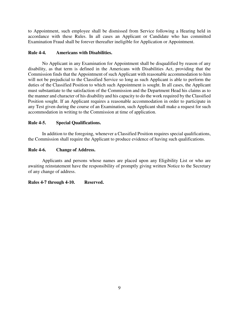<span id="page-13-0"></span>to Appointment, such employee shall be dismissed from Service following a Hearing held in accordance with these Rules. In all cases an Applicant or Candidate who has committed Examination Fraud shall be forever thereafter ineligible for Application or Appointment.

#### **Rule 4-4. Americans with Disabilities.**

No Applicant in any Examination for Appointment shall be disqualified by reason of any disability, as that term is defined in the Americans with Disabilities Act, providing that the Commission finds that the Appointment of such Applicant with reasonable accommodation to him will not be prejudicial to the Classified Service so long as such Applicant is able to perform the duties of the Classified Position to which such Appointment is sought. In all cases, the Applicant must substantiate to the satisfaction of the Commission and the Department Head his claims as to the manner and character of his disability and his capacity to do the work required by the Classified Position sought. If an Applicant requires a reasonable accommodation in order to participate in any Test given during the course of an Examination, such Applicant shall make a request for such accommodation in writing to the Commission at time of application.

#### **Rule 4-5. Special Qualifications.**

In addition to the foregoing, whenever a Classified Position requires special qualifications, the Commission shall require the Applicant to produce evidence of having such qualifications.

#### **Rule 4-6. Change of Address.**

Applicants and persons whose names are placed upon any Eligibility List or who are awaiting reinstatement have the responsibility of promptly giving written Notice to the Secretary of any change of address.

#### **Rules 4-7 through 4-10. Reserved.**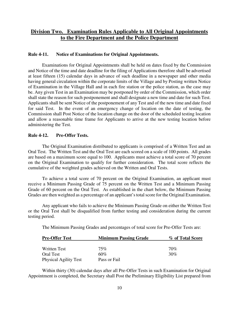#### <span id="page-14-0"></span>**Division Two. Examination Rules Applicable to All Original Appointments to the Fire Department and the Police Department**

#### **Rule 4-11. Notice of Examinations for Original Appointments.**

Examinations for Original Appointments shall be held on dates fixed by the Commission and Notice of the time and date deadline for the filing of Applications therefore shall be advertised at least fifteen (15) calendar days in advance of such deadline in a newspaper and other media having general circulation within the corporate limits of the Village and by Posting written Notice of Examination in the Village Hall and in each fire station or the police station, as the case may be. Any given Test in an Examination may be postponed by order of the Commission, which order shall state the reason for such postponement and shall designate a new time and date for such Test. Applicants shall be sent Notice of the postponement of any Test and of the new time and date fixed for said Test. In the event of an emergency change of location on the date of testing, the Commission shall Post Notice of the location change on the door of the scheduled testing location and allow a reasonable time frame for Applicants to arrive at the new testing location before administering the Test.

#### **Rule 4-12. Pre-Offer Tests.**

The Original Examination distributed to applicants is comprised of a Written Test and an Oral Test. The Written Test and the Oral Test are each scored on a scale of 100 points. All grades are based on a maximum score equal to 100. Applicants must achieve a total score of 70 percent on the Original Examination to qualify for further consideration. The total score reflects the cumulative of the weighted grades achieved on the Written and Oral Tests.

To achieve a total score of 70 percent on the Original Examination, an applicant must receive a Minimum Passing Grade of 75 percent on the Written Test and a Minimum Passing Grade of 60 percent on the Oral Test. As established in the chart below, the Minimum Passing Grades are then weighted as a percentage of an applicant's total score for the Original Examination.

Any applicant who fails to achieve the Minimum Passing Grade on either the Written Test or the Oral Test shall be disqualified from further testing and consideration during the current testing period.

The Minimum Passing Grades and percentages of total score for Pre-Offer Tests are:

| <b>Pre-Offer Test</b>        | <b>Minimum Passing Grade</b> | % of Total Score |
|------------------------------|------------------------------|------------------|
| Written Test                 | $75\%$                       | 70%              |
| <b>Oral Test</b>             | 60%                          | 30%              |
| <b>Physical Agility Test</b> | Pass or Fail                 |                  |

 Within thirty (30) calendar days after all Pre-Offer Tests in such Examination for Original Appointment is completed, the Secretary shall Post the Preliminary Eligibility List prepared from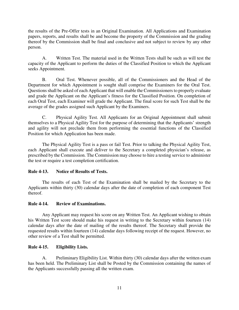<span id="page-15-0"></span>the results of the Pre-Offer tests in an Original Examination. All Applications and Examination papers, reports, and results shall be and become the property of the Commission and the grading thereof by the Commission shall be final and conclusive and not subject to review by any other person.

A. Written Test. The material used in the Written Tests shall be such as will test the capacity of the Applicant to perform the duties of the Classified Position to which the Applicant seeks Appointment.

B. Oral Test. Whenever possible, all of the Commissioners and the Head of the Department for which Appointment is sought shall comprise the Examiners for the Oral Test. Questions shall be asked of each Applicant that will enable the Commissioners to properly evaluate and grade the Applicant on the Applicant's fitness for the Classified Position. On completion of each Oral Test, each Examiner will grade the Applicant. The final score for such Test shall be the average of the grades assigned such Applicant by the Examiners.

C. Physical Agility Test. All Applicants for an Original Appointment shall submit themselves to a Physical Agility Test for the purpose of determining that the Applicants' strength and agility will not preclude them from performing the essential functions of the Classified Position for which Application has been made.

The Physical Agility Test is a pass or fail Test. Prior to talking the Physical Agility Test, each Applicant shall execute and deliver to the Secretary a completed physician's release, as prescribed by the Commission. The Commission may choose to hire a testing service to administer the test or require a test completion certification.

#### **Rule 4-13. Notice of Results of Tests.**

The results of each Test of the Examination shall be mailed by the Secretary to the Applicants within thirty (30) calendar days after the date of completion of each component Test thereof.

#### **Rule 4-14. Review of Examinations.**

Any Applicant may request his score on any Written Test. An Applicant wishing to obtain his Written Test score should make his request in writing to the Secretary within fourteen (14) calendar days after the date of mailing of the results thereof. The Secretary shall provide the requested results within fourteen (14) calendar days following receipt of the request. However, no other review of a Test shall be permitted.

#### **Rule 4-15. Eligibility Lists.**

 A. Preliminary Eligibility List. Within thirty (30) calendar days after the written exam has been held. The Preliminary List shall be Posted by the Commission containing the names of the Applicants successfully passing all the written exam.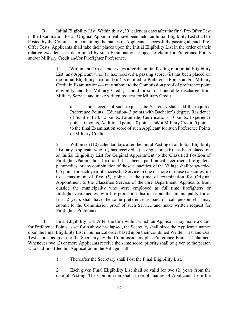B. Initial Eligibility List. Within thirty (30) calendar days after the final Pre-Offer Test in the Examination for an Original Appointment have been held, an Initial Eligibility List shall be Posted by the Commission containing the names of Applicants successfully passing all such Pre-Offer Tests. Applicants shall take their places upon the Initial Eligibility List in the order of their relative excellence as determined by such Examination, subject to claim for Preference Points and/or Military Credit and/or Firefighter Preference.

> 1. Within ten (10) calendar days after the initial Posting of a Initial Eligibility List, any Applicant who: (i) has received a passing score; (ii) has been placed on the Initial Eligibility List; and (iii) is entitled to Preference Points and/or Military Credit in Examinations— may submit to the Commission proof of preference point eligibility and for Military Credit, submit proof of honorable discharge from Military Service and make written request for Military Credit.

a. Upon receipt of such request, the Secretary shall add the required Preference Points: Education- 3 points with Bachelor's degree, Residence of Schiller Park- 2 points, Paramedic Certifications- 0 points, Experience points- 0 points, Additional points- 0 points and/or Military Credit- 5 points, to the final Examination score of such Applicant for such Preference Points or Military Credit.

2. Within ten (10) calendar days after the initial Posting of an Initial Eligibility List, any Applicant who: (i) has received a passing score; (ii) has been placed on an Initial Eligibility List for Original Appointment to the Classified Position of Firefighter/Paramedic; (iii) and has been paid-on-call certified firefighters, paramedics, or any combination of those capacities, of the Village shall be awarded 0.5 point for each year of successful Service in one or more of those capacities, up to a maximum of five (5) points at the time of examination for Original Appointment to the Classified Service of the Fire Department. Applicants from outside the municipality who were employed as full-time firefighters or firefighter/paramedics by a fire protection district or another municipality for at least 2 years shall have the same preference as paid-on-call personnel— may submit to the Commission proof of such Service and make written request for Firefighter Preference.

B. Final Eligibility List. After the time within which an Applicant may make a claim for Preference Points as set forth above has lapsed, the Secretary shall place the Applicants names upon the Final Eligibility List in numerical order based upon their combined Written Test and Oral Test scores as given to the Secretary by the Commissioners plus Preference Points, if claimed. Whenever two (2) or more Applicants receive the same score, priority shall be given to the person who had first filed his Application in the Village Hall.

1. Thereafter the Secretary shall Post the Final Eligibility List.

2. Each given Final Eligibility List shall be valid for two (2) years from the date of Posting. The Commission shall strike off names of Applicants from the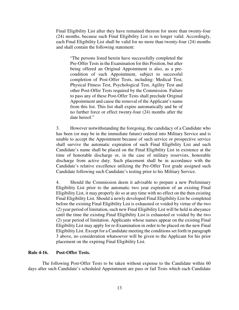<span id="page-17-0"></span>Final Eligibility List after they have remained thereon for more than twenty-four (24) months, because such Final Eligibility List is no longer valid. Accordingly, each Final Eligibility List shall be valid for no more than twenty-four (24) months and shall contain the following statement:

"The persons listed herein have successfully completed the Pre-Offer Tests in the Examination for this Position, but after being offered an Original Appointment is also, as a precondition of such Appointment, subject to successful completion of Post-Offer Tests, including: Medical Test, Physical Fitness Test, Psychological Test, Agility Test and other Post-Offer Tests required by the Commission. Failure to pass any of these Post-Offer Tests shall preclude Original Appointment and cause the removal of the Applicant's name from this list. This list shall expire automatically and be of no further force or effect twenty-four (24) months after the date hereof."

3. However notwithstanding the foregoing, the candidacy of a Candidate who has been (or may be in the immediate future) ordered into Military Service and is unable to accept the Appointment because of such service or prospective service shall survive the automatic expiration of such Final Eligibility List and such Candidate's name shall be placed on the Final Eligibility List in existence at the time of honorable discharge or, in the case of military reservists, honorable discharge from active duty. Such placement shall be in accordance with the Candidate's relative excellence utilizing the Pre-Offer Test grade assigned such Candidate following such Candidate's testing prior to his Military Service.

4. Should the Commission deem it advisable to prepare a new Preliminary Eligibility List prior to the automatic two year expiration of an existing Final Eligibility List, it may properly do so at any time with no effect on the then existing Final Eligibility List. Should a newly developed Final Eligibility List be completed before the existing Final Eligibility List is exhausted or voided by virtue of the two (2) year period of limitation, such new Final Eligibility List will be held in abeyance until the time the existing Final Eligibility List is exhausted or voided by the two (2) year period of limitation. Applicants whose names appear on the existing Final Eligibility List may apply for re-Examination in order to be placed on the new Final Eligibility List. Except for a Candidate meeting the conditions set forth in paragraph 3 above, no consideration whatsoever will be given to the Applicant for his prior placement on the expiring Final Eligibility List.

#### **Rule 4-16. Post-Offer Tests.**

The following Post-Offer Tests to be taken without expense to the Candidate within 60 days after such Candidate's scheduled Appointment are pass or fail Tests which each Candidate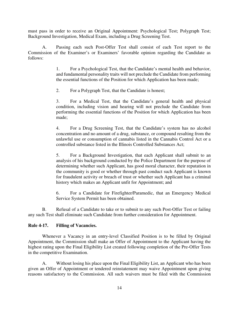<span id="page-18-0"></span>must pass in order to receive an Original Appointment: Psychological Test; Polygraph Test; Background Investigation, Medical Exam, including a Drug Screening Test.

A. Passing each such Post-Offer Test shall consist of each Test report to the Commission of the Examiner's or Examiners' favorable opinion regarding the Candidate as follows:

> 1. For a Psychological Test, that the Candidate's mental health and behavior, and fundamental personality traits will not preclude the Candidate from performing the essential functions of the Position for which Application has been made;

2. For a Polygraph Test, that the Candidate is honest;

3. For a Medical Test, that the Candidate's general health and physical condition, including vision and hearing will not preclude the Candidate from performing the essential functions of the Position for which Application has been made;

4. For a Drug Screening Test, that the Candidate's system has no alcohol concentration and no amount of a drug, substance, or compound resulting from the unlawful use or consumption of cannabis listed in the Cannabis Control Act or a controlled substance listed in the Illinois Controlled Substances Act;

5. For a Background Investigation, that each Applicant shall submit to an analysis of his background conducted by the Police Department for the purpose of determining whether such Applicant, has good moral character, their reputation in the community is good or whether through past conduct such Applicant is known for fraudulent activity or breach of trust or whether such Applicant has a criminal history which makes an Applicant unfit for Appointment; and

6. For a Candidate for Firefighter/Paramedic, that an Emergency Medical Service System Permit has been obtained.

B. Refusal of a Candidate to take or to submit to any such Post-Offer Test or failing any such Test shall eliminate such Candidate from further consideration for Appointment.

#### **Rule 4-17. Filling of Vacancies.**

Whenever a Vacancy in an entry-level Classified Position is to be filled by Original Appointment, the Commission shall make an Offer of Appointment to the Applicant having the highest rating upon the Final Eligibility List created following completion of the Pre-Offer Tests in the competitive Examination.

A. Without losing his place upon the Final Eligibility List, an Applicant who has been given an Offer of Appointment or tendered reinstatement may waive Appointment upon giving reasons satisfactory to the Commission. All such waivers must be filed with the Commission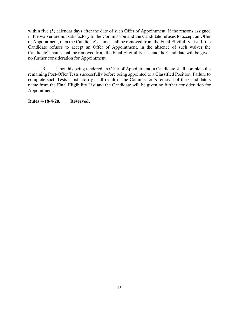<span id="page-19-0"></span>within five (5) calendar days after the date of such Offer of Appointment. If the reasons assigned in the waiver are not satisfactory to the Commission and the Candidate refuses to accept an Offer of Appointment, then the Candidate's name shall be removed from the Final Eligibility List. If the Candidate refuses to accept an Offer of Appointment, in the absence of such waiver the Candidate's name shall be removed from the Final Eligibility List and the Candidate will be given no further consideration for Appointment.

B. Upon his being tendered an Offer of Appointment; a Candidate shall complete the remaining Post-Offer Tests successfully before being appointed to a Classified Position. Failure to complete such Tests satisfactorily shall result in the Commission's removal of the Candidate's name from the Final Eligibility List and the Candidate will be given no further consideration for Appointment.

**Rules 4-18-4-20. Reserved.**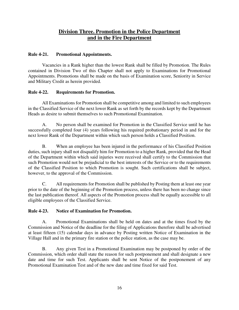### **Division Three. Promotion in the Police Department and in the Fire Department**

#### <span id="page-20-0"></span>**Rule 4-21. Promotional Appointments.**

Vacancies in a Rank higher than the lowest Rank shall be filled by Promotion. The Rules contained in Division Two of this Chapter shall not apply to Examinations for Promotional Appointments. Promotions shall be made on the basis of Examination score, Seniority in Service and Military Credit as herein provided.

#### **Rule 4-22. Requirements for Promotion.**

All Examinations for Promotion shall be competitive among and limited to such employees in the Classified Service of the next lower Rank as set forth by the records kept by the Department Heads as desire to submit themselves to such Promotional Examination.

A. No person shall be examined for Promotion in the Classified Service until he has successfully completed four (4) years following his required probationary period in and for the next lower Rank of the Department within which such person holds a Classified Position.

B. When an employee has been injured in the performance of his Classified Position duties, such injury shall not disqualify him for Promotion to a higher Rank, provided that the Head of the Department within which said injuries were received shall certify to the Commission that such Promotion would not be prejudicial to the best interests of the Service or to the requirements of the Classified Position to which Promotion is sought. Such certifications shall be subject, however, to the approval of the Commission.

C. All requirements for Promotion shall be published by Posting them at least one year prior to the date of the beginning of the Promotion process, unless there has been no change since the last publication thereof. All aspects of the Promotion process shall be equally accessible to all eligible employees of the Classified Service.

#### **Rule 4-23. Notice of Examination for Promotion.**

A. Promotional Examinations shall be held on dates and at the times fixed by the Commission and Notice of the deadline for the filing of Applications therefore shall be advertised at least fifteen (15) calendar days in advance by Posting written Notice of Examination in the Village Hall and in the primary fire station or the police station, as the case may be.

B. Any given Test in a Promotional Examination may be postponed by order of the Commission, which order shall state the reason for such postponement and shall designate a new date and time for such Test. Applicants shall be sent Notice of the postponement of any Promotional Examination Test and of the new date and time fixed for said Test.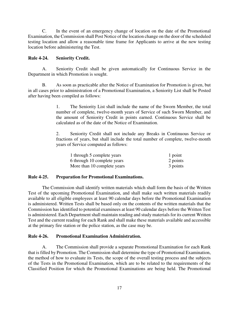<span id="page-21-0"></span>C. In the event of an emergency change of location on the date of the Promotional Examination, the Commission shall Post Notice of the location change on the door of the scheduled testing location and allow a reasonable time frame for Applicants to arrive at the new testing location before administering the Test.

#### **Rule 4-24. Seniority Credit.**

A. Seniority Credit shall be given automatically for Continuous Service in the Department in which Promotion is sought.

B. As soon as practicable after the Notice of Examination for Promotion is given, but in all cases prior to administration of a Promotional Examination, a Seniority List shall be Posted after having been compiled as follows:

> 1. The Seniority List shall include the name of the Sworn Member, the total number of complete, twelve-month years of Service of such Sworn Member, and the amount of Seniority Credit in points earned. Continuous Service shall be calculated as of the date of the Notice of Examination.

> 2. Seniority Credit shall not include any Breaks in Continuous Service or fractions of years, but shall include the total number of complete, twelve-month years of Service computed as follows:

| 1 through 5 complete years  | 1 point  |
|-----------------------------|----------|
| 6 through 10 complete years | 2 points |
| More than 10 complete years | 3 points |

#### **Rule 4-25. Preparation for Promotional Examinations.**

The Commission shall identify written materials which shall form the basis of the Written Test of the upcoming Promotional Examination, and shall make such written materials readily available to all eligible employees at least 90 calendar days before the Promotional Examination is administered. Written Tests shall be based only on the contents of the written materials that the Commission has identified to potential examinees at least 90 calendar days before the Written Test is administered. Each Department shall maintain reading and study materials for its current Written Test and the current reading for each Rank and shall make these materials available and accessible at the primary fire station or the police station, as the case may be.

#### **Rule 4-26. Promotional Examination Administration.**

A. The Commission shall provide a separate Promotional Examination for each Rank that is filled by Promotion. The Commission shall determine the type of Promotional Examination, the method of how to evaluate its Tests, the scope of the overall testing process and the subjects of the Tests in the Promotional Examination, which are to be related to the requirements of the Classified Position for which the Promotional Examinations are being held. The Promotional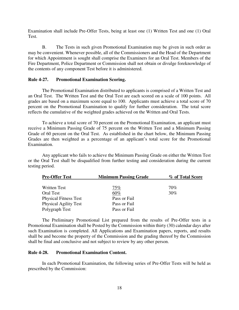<span id="page-22-0"></span>Examination shall include Pre-Offer Tests, being at least one (1) Written Test and one (1) Oral Test.

B. The Tests in such given Promotional Examination may be given in such order as may be convenient. Whenever possible, all of the Commissioners and the Head of the Department for which Appointment is sought shall comprise the Examiners for an Oral Test. Members of the Fire Department, Police Department or Commission shall not obtain or divulge foreknowledge of the contents of any component Test before it is administered.

#### **Rule 4-27. Promotional Examination Scoring.**

The Promotional Examination distributed to applicants is comprised of a Written Test and an Oral Test. The Written Test and the Oral Test are each scored on a scale of 100 points. All grades are based on a maximum score equal to 100. Applicants must achieve a total score of 70 percent on the Promotional Examination to qualify for further consideration. The total score reflects the cumulative of the weighted grades achieved on the Written and Oral Tests.

To achieve a total score of 70 percent on the Promotional Examination, an applicant must receive a Minimum Passing Grade of 75 percent on the Written Test and a Minimum Passing Grade of 60 percent on the Oral Test. As established in the chart below, the Minimum Passing Grades are then weighted as a percentage of an applicant's total score for the Promotional Examination.

Any applicant who fails to achieve the Minimum Passing Grade on either the Written Test or the Oral Test shall be disqualified from further testing and consideration during the current testing period.

| <b>Pre-Offer Test</b>        | <b>Minimum Passing Grade</b> | % of Total Score |
|------------------------------|------------------------------|------------------|
| <b>Written Test</b>          | 75%                          | 70%              |
| Oral Test                    | 60%                          | 30%              |
| <b>Physical Fitness Test</b> | Pass or Fail                 |                  |
| <b>Physical Agility Test</b> | Pass or Fail                 |                  |
| Polygraph Test               | Pass or Fail                 |                  |

 The Preliminary Promotional List prepared from the results of Pre-Offer tests in a Promotional Examination shall be Posted by the Commission within thirty (30) calendar days after such Examination is completed. All Applications and Examination papers, reports, and results shall be and become the property of the Commission and the grading thereof by the Commission shall be final and conclusive and not subject to review by any other person.

#### **Rule 4-28. Promotional Examination Content.**

In each Promotional Examination, the following series of Pre-Offer Tests will be held as prescribed by the Commission: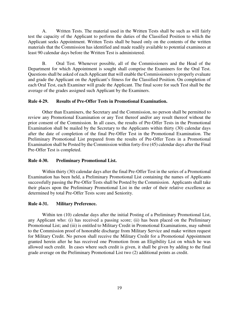<span id="page-23-0"></span>A. Written Tests. The material used in the Written Tests shall be such as will fairly test the capacity of the Applicant to perform the duties of the Classified Position to which the Applicant seeks Appointment. Written Tests shall be based only on the contents of the written materials that the Commission has identified and made readily available to potential examinees at least 90 calendar days before the Written Test is administered.

B. Oral Test. Whenever possible, all of the Commissioners and the Head of the Department for which Appointment is sought shall comprise the Examiners for the Oral Test. Questions shall be asked of each Applicant that will enable the Commissioners to properly evaluate and grade the Applicant on the Applicant's fitness for the Classified Position. On completion of each Oral Test, each Examiner will grade the Applicant. The final score for such Test shall be the average of the grades assigned such Applicant by the Examiners.

#### **Rule 4-29. Results of Pre-Offer Tests in Promotional Examination.**

Other than Examiners, the Secretary and the Commission, no person shall be permitted to review any Promotional Examination or any Test thereof and/or any result thereof without the prior consent of the Commission. In all cases, the results of Pre-Offer Tests in the Promotional Examination shall be mailed by the Secretary to the Applicants within thirty (30) calendar days after the date of completion of the final Pre-Offer Test in the Promotional Examination. The Preliminary Promotional List prepared from the results of Pre-Offer Tests in a Promotional Examination shall be Posted by the Commission within forty-five (45) calendar days after the Final Pre-Offer Test is completed.

#### **Rule 4-30. Preliminary Promotional List.**

Within thirty (30) calendar days after the final Pre-Offer Test in the series of a Promotional Examination has been held, a Preliminary Promotional List containing the names of Applicants successfully passing the Pre-Offer Tests shall be Posted by the Commission. Applicants shall take their places upon the Preliminary Promotional List in the order of their relative excellence as determined by total Pre-Offer Tests score and Seniority.

#### **Rule 4-31. Military Preference.**

Within ten (10) calendar days after the initial Posting of a Preliminary Promotional List, any Applicant who: (i) has received a passing score; (ii) has been placed on the Preliminary Promotional List; and (iii) is entitled to Military Credit in Promotional Examinations, may submit to the Commission proof of honorable discharge from Military Service and make written request for Military Credit. No person shall receive the Military Credit for a Promotional Appointment granted herein after he has received one Promotion from an Eligibility List on which he was allowed such credit. In cases where such credit is given, it shall be given by adding to the final grade average on the Preliminary Promotional List two (2) additional points as credit.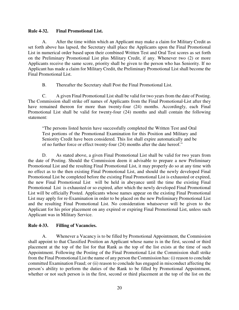#### <span id="page-24-0"></span>**Rule 4-32. Final Promotional List.**

A. After the time within which an Applicant may make a claim for Military Credit as set forth above has lapsed, the Secretary shall place the Applicants upon the Final Promotional List in numerical order based upon their combined Written Test and Oral Test scores as set forth on the Preliminary Promotional List plus Military Credit, if any. Whenever two (2) or more Applicants receive the same score, priority shall be given to the person who has Seniority. If no Applicant has made a claim for Military Credit, the Preliminary Promotional List shall become the Final Promotional List.

B. Thereafter the Secretary shall Post the Final Promotional List.

C. A given Final Promotional List shall be valid for two years from the date of Posting. The Commission shall strike off names of Applicants from the Final Promotional-List after they have remained thereon for more than twenty-four (24) months. Accordingly, each Final Promotional List shall be valid for twenty-four (24) months and shall contain the following statement:

"The persons listed herein have successfully completed the Written Test and Oral Test portions of the Promotional Examination for this Position and Military and Seniority Credit have been considered. This list shall expire automatically and be of no further force or effect twenty-four (24) months after the date hereof."

D. As stated above, a given Final Promotional List shall be valid for two years from the date of Posting. Should the Commission deem it advisable to prepare a new Preliminary Promotional List and the resulting Final Promotional List, it may properly do so at any time with no effect as to the then existing Final Promotional List, and should the newly developed Final Promotional List be completed before the existing Final Promotional List is exhausted or expired, the new Final Promotional List will be held in abeyance until the time the existing Final Promotional List is exhausted or so expired, after which the newly developed Final Promotional List will be officially Posted. Applicants whose names appear on the existing Final Promotional List may apply for re-Examination in order to be placed on the new Preliminary Promotional List and the resulting Final Promotional List. No consideration whatsoever will be given to the Applicant for his prior placement on any expired or expiring Final Promotional List, unless such Applicant was in Military Service.

#### **Rule 4-33. Filling of Vacancies.**

A. Whenever a Vacancy is to be filled by Promotional Appointment, the Commission shall appoint to that Classified Position an Applicant whose name is in the first, second or third placement at the top of the list for that Rank as the top of the list exists at the time of such Appointment. Following the Posting of the Final Promotional List the Commission shall strike from the Final Promotional List the name of any person the Commission has: (i) reason to conclude committed Examination Fraud; or (ii) reason to conclude has engaged in misconduct affecting the person's ability to perform the duties of the Rank to be filled by Promotional Appointment, whether or not such person is in the first, second or third placement at the top of the list on the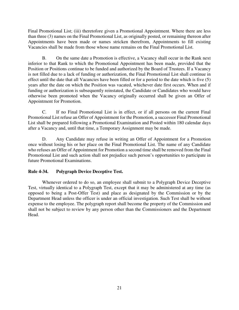<span id="page-25-0"></span>Final Promotional List; (iii) theretofore given a Promotional Appointment. Where there are less than three (3) names on the Final Promotional List, as originally posted, or remaining thereon after Appointments have been made or names stricken therefrom, Appointments to fill existing Vacancies shall be made from those whose name remains on the Final Promotional List.

B. On the same date a Promotion is effective, a Vacancy shall occur in the Rank next inferior to that Rank to which the Promotional Appointment has been made, provided that the Position or Positions continue to be funded and authorized by the Board of Trustees. If a Vacancy is not filled due to a lack of funding or authorization, the Final Promotional List shall continue in effect until the date that all Vacancies have been filled or for a period to the date which is five (5) years after the date on which the Position was vacated, whichever date first occurs. When and if funding or authorization is subsequently reinstated, the Candidate or Candidates who would have otherwise been promoted when the Vacancy originally occurred shall be given an Offer of Appointment for Promotion.

C. If no Final Promotional List is in effect, or if all persons on the current Final Promotional List refuse an Offer of Appointment for the Promotion, a successor Final Promotional List shall be prepared following a Promotional Examination and Posted within 180 calendar days after a Vacancy and, until that time, a Temporary Assignment may be made.

D. Any Candidate may refuse in writing an Offer of Appointment for a Promotion once without losing his or her place on the Final Promotional List. The name of any Candidate who refuses an Offer of Appointment for Promotion a second time shall be removed from the Final Promotional List and such action shall not prejudice such person's opportunities to participate in future Promotional Examinations.

#### **Rule 4-34. Polygraph Device Deceptive Test.**

 Whenever ordered to do so, an employee shall submit to a Polygraph Device Deceptive Test, virtually identical to a Polygraph Test, except that it may be administered at any time (as opposed to being a Post-Offer Test) and place as designated by the Commission or by the Department Head unless the officer is under an official investigation. Such Test shall be without expense to the employee. The polygraph report shall become the property of the Commission and shall not be subject to review by any person other than the Commissioners and the Department Head.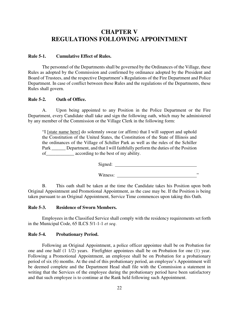## <span id="page-26-0"></span>**CHAPTER V REGULATIONS FOLLOWING APPOINTMENT**

#### **Rule 5-1. Cumulative Effect of Rules.**

The personnel of the Departments shall be governed by the Ordinances of the Village, these Rules as adopted by the Commission and confirmed by ordinance adopted by the President and Board of Trustees, and the respective Department's Regulations of the Fire Department and Police Department. In case of conflict between these Rules and the regulations of the Departments, these Rules shall govern.

#### **Rule 5-2. Oath of Office.**

A. Upon being appointed to any Position in the Police Department or the Fire Department, every Candidate shall take and sign the following oath, which may be administered by any member of the Commission or the Village Clerk in the following form:

"I [state name here] do solemnly swear (or affirm) that I will support and uphold the Constitution of the United States, the Constitution of the State of Illinois and the ordinances of the Village of Schiller Park as well as the rules of the Schiller Park Department, and that I will faithfully perform the duties of the Position of\_\_\_\_\_\_\_\_\_\_\_\_ according to the best of my ability.

Signed:

Witness: "

B. This oath shall be taken at the time the Candidate takes his Position upon both Original Appointment and Promotional Appointment, as the case may be. If the Position is being taken pursuant to an Original Appointment, Service Time commences upon taking this Oath.

#### **Rule 5-3. Residence of Sworn Members.**

Employees in the Classified Service shall comply with the residency requirements set forth in the Municipal Code, 65 ILCS 5/1-1-1 *et seq*.

#### **Rule 5-4. Probationary Period.**

Following an Original Appointment, a police officer appointee shall be on Probation for one and one half (1 1/2) years. Firefighter appointees shall be on Probation for one (1) year. Following a Promotional Appointment, an employee shall be on Probation for a probationary period of six (6) months. At the end of this probationary period, an employee's Appointment will be deemed complete and the Department Head shall file with the Commission a statement in writing that the Services of the employee during the probationary period have been satisfactory and that such employee is to continue at the Rank held following such Appointment.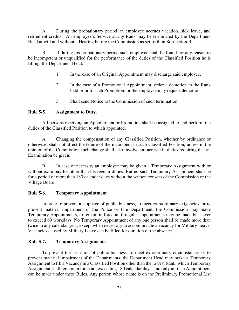<span id="page-27-0"></span>A. During the probationary period an employee accrues vacation, sick leave, and retirement credits. An employee's Service at any Rank may be terminated by the Department Head at will and without a Hearing before the Commission as set forth in Subsection B.

B. If during his probationary period such employee shall be found for any reason to be incompetent or unqualified for the performance of the duties of the Classified Position he is filling, the Department Head:

- 1. In the case of an Original Appointment may discharge said employee.
- 2. In the case of a Promotional Appointment, order a demotion to the Rank held prior to such Promotion; or the employee may request demotion.
- 3. Shall send Notice to the Commission of such termination.

#### **Rule 5-5. Assignment to Duty.**

All persons receiving an Appointment or Promotion shall be assigned to and perform the duties of the Classified Position to which appointed.

A. Changing the compensation of any Classified Position, whether by ordinance or otherwise, shall not affect the tenure of the incumbent in such Classified Position, unless in the opinion of the Commission such change shall also involve an increase in duties requiring that an Examination be given.

B. In case of necessity an employee may be given a Temporary Assignment with or without extra pay for other than his regular duties. But no such Temporary Assignment shall be for a period of more than 180 calendar days without the written consent of the Commission or the Village Board.

#### **Rule 5-6. Temporary Appointment**

In order to prevent a stoppage of public business, to meet extraordinary exigencies, or to prevent material impairment of the Police or Fire Department, the Commission may make Temporary Appointments, to remain in force until regular appointments may be made but never to exceed 60 workdays. No Temporary Appointment of any one person shall be made more than twice in any calendar year, except when necessary to accommodate a vacancy for Military Leave. Vacancies caused by Military Leave can be filled for duration of the absence.

#### **Rule 5-7. Temporary Assignments.**

To prevent the cessation of public business, to meet extraordinary circumstances or to prevent material impairment of the Departments, the Department Head may make a Temporary Assignment to fill a Vacancy in a Classified Position other than the lowest Rank, which Temporary Assignment shall remain in force not exceeding 180 calendar days, and only until an Appointment can be made under these Rules. Any person whose name is on the Preliminary Promotional List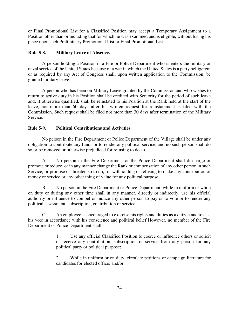<span id="page-28-0"></span>or Final Promotional List for a Classified Position may accept a Temporary Assignment to a Position other than or including that for which he was examined and is eligible, without losing his place upon such Preliminary Promotional List or Final Promotional List.

#### **Rule 5-8. Military Leave of Absence.**

 A person holding a Position in a Fire or Police Department who is enters the military or naval service of the United States because of a war in which the United States is a party belligerent or as required by any Act of Congress shall, upon written application to the Commission, be granted military leave.

 A person who has been on Military Leave granted by the Commission and who wishes to return to active duty in his Position shall be credited with Seniority for the period of such leave and, if otherwise qualified, shall be reinstated to his Position at the Rank held at the start of the leave, not more than 60 days after his written request for reinstatement is filed with the Commission. Such request shall be filed not more than 30 days after termination of the Military Service.

#### **Rule 5-9. Political Contributions and Activities.**

No person in the Fire Department or Police Department of the Village shall be under any obligation to contribute any funds or to render any political service, and no such person shall do so or be removed or otherwise prejudiced for refusing to do so.

A. No person in the Fire Department or the Police Department shall discharge or promote or reduce, or in any manner change the Rank or compensation of any other person in such Service, or promise or threaten so to do, for withholding or refusing to make any contribution of money or service or any other thing of value for any political purpose.

B. No person in the Fire Department or Police Department, while in uniform or while on duty or during any other time shall in any manner, directly or indirectly, use his official authority or influence to compel or induce any other person to pay or to vote or to render any political assessment, subscription, contribution or service.

C. An employee is encouraged to exercise his rights and duties as a citizen and to cast his vote in accordance with his conscience and political belief However, no member of the Fire Department or Police Department shall:

> 1. Use any official Classified Position to coerce or influence others or solicit or receive any contribution, subscription or service from any person for any political party or political purpose;

> 2. While in uniform or on duty, circulate petitions or campaign literature for candidates for elected office; and/or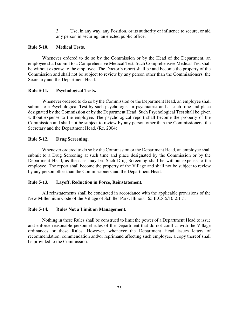3. Use, in any way, any Position, or its authority or influence to secure, or aid any person in securing, an elected public office.

#### <span id="page-29-0"></span>**Rule 5-10. Medical Tests.**

Whenever ordered to do so by the Commission or by the Head of the Department, an employee shall submit to a Comprehensive Medical Test. Such Comprehensive Medical Test shall be without expense to the employee. The Doctor's report shall be and become the property of the Commission and shall not be subject to review by any person other than the Commissioners, the Secretary and the Department Head.

#### **Rule 5-11. Psychological Tests.**

Whenever ordered to do so by the Commission or the Department Head, an employee shall submit to a Psychological Test by such psychologist or psychiatrist and at such time and place designated by the Commission or by the Department Head. Such Psychological Test shall be given without expense to the employee. The psychological report shall become the property of the Commission and shall not be subject to review by any person other than the Commissioners, the Secretary and the Department Head. (Re. 2004)

#### **Rule 5-12. Drug Screening.**

Whenever ordered to do so by the Commission or the Department Head, an employee shall submit to a Drug Screening at such time and place designated by the Commission or by the Department Head, as the case may be. Such Drug Screening shall be without expense to the employee. The report shall become the property of the Village and shall not be subject to review by any person other than the Commissioners and the Department Head.

#### **Rule 5-13. Layoff, Reduction in Force, Reinstatement.**

 All reinstatements shall be conducted in accordance with the applicable provisions of the New Millennium Code of the Village of Schiller Park, Illinois. 65 ILCS 5/10-2.1-5.

#### **Rule 5-14. Rules Not a Limit on Management.**

Nothing in these Rules shall be construed to limit the power of a Department Head to issue and enforce reasonable personnel rules of the Department that do not conflict with the Village ordinances or these Rules. However, whenever the Department Head issues letters of recommendation, commendation and/or reprimand affecting such employee, a copy thereof shall be provided to the Commission.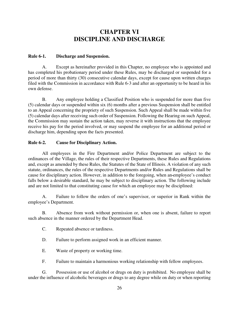## **CHAPTER VI DISCIPLINE AND DISCHARGE**

#### <span id="page-30-0"></span>**Rule 6-1. Discharge and Suspension.**

A. Except as hereinafter provided in this Chapter, no employee who is appointed and has completed his probationary period under these Rules, may be discharged or suspended for a period of more than thirty (30) consecutive calendar days, except for cause upon written charges filed with the Commission in accordance with Rule 6-3 and after an opportunity to be heard in his own defense.

B. Any employee holding a Classified Position who is suspended for more than five (5) calendar days or suspended within six (6) months after a previous Suspension shall be entitled to an Appeal concerning the propriety of such Suspension. Such Appeal shall be made within five (5) calendar days after receiving such order of Suspension. Following the Hearing on such Appeal, the Commission may sustain the action taken, may reverse it with instructions that the employee receive his pay for the period involved, or may suspend the employee for an additional period or discharge him, depending upon the facts presented.

#### **Rule 6-2. Cause for Disciplinary Action.**

All employees in the Fire Department and/or Police Department are subject to the ordinances of the Village, the rules of their respective Departments, these Rules and Regulations and, except as amended by these Rules, the Statutes of the State of Illinois. A violation of any such statute, ordinances, the rules of the respective Departments and/or Rules and Regulations shall be cause for disciplinary action. However, in addition to the foregoing, when an employee's conduct falls below a desirable standard, he may be subject to disciplinary action. The following include and are not limited to that constituting cause for which an employee may be disciplined:

A. Failure to follow the orders of one's supervisor, or superior in Rank within the employee's Department.

B. Absence from work without permission or, when one is absent, failure to report such absence in the manner ordered by the Department Head.

- C. Repeated absence or tardiness.
- D. Failure to perform assigned work in an efficient manner.
- E. Waste of property or working time.
- F. Failure to maintain a harmonious working relationship with fellow employees.

G. Possession or use of alcohol or drugs on duty is prohibited. No employee shall be under the influence of alcoholic beverages or drugs to any degree while on duty or when reporting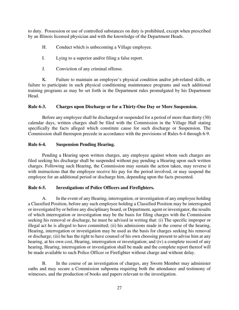<span id="page-31-0"></span>to duty. Possession or use of controlled substances on duty is prohibited, except when prescribed by an Illinois licensed physician and with the knowledge of the Department Heads.

- H. Conduct which is unbecoming a Village employee.
- I. Lying to a superior and/or filing a false report.
- J. Conviction of any criminal offense.

K. Failure to maintain an employee's physical condition and/or job-related skills, or failure to participate in such physical conditioning maintenance programs and such additional training programs as may be set forth in the Department rules promulgated by his Department Head.

#### **Rule 6-3. Charges upon Discharge or for a Thirty-One Day or More Suspension.**

Before any employee shall be discharged or suspended for a period of more than thirty (30) calendar days, written charges shall be filed with the Commission in the Village Hall stating specifically the facts alleged which constitute cause for such discharge or Suspension. The Commission shall thereupon precede in accordance with the provisions of Rules 6-4 through 6-9.

#### **Rule 6-4. Suspension Pending Hearing.**

Pending a Hearing upon written charges, any employee against whom such charges are filed seeking his discharge shall be suspended without pay pending a Hearing upon such written charges. Following such Hearing, the Commission may sustain the action taken, may reverse it with instructions that the employee receive his pay for the period involved, or may suspend the employee for an additional period or discharge him, depending upon the facts presented.

#### **Rule 6-5. Investigations of Police Officers and Firefighters.**

A. In the event of any Hearing, interrogation, or investigation of any employee holding a Classified Position, before any such employee holding a Classified Position may be interrogated or investigated by or before any disciplinary board, or Department, agent or investigator, the results of which interrogation or investigation may be the basis for filing charges with the Commission seeking his removal or discharge, he must be advised in writing that: (i) The specific improper or illegal act he is alleged to have committed; (ii) his admissions made in the course of the hearing, Hearing, interrogation or investigation may be used as the basis for charges seeking his removal or discharge; (iii) he has the right to have counsel of his own choosing present to advise him at any hearing, at his own cost, Hearing, interrogation or investigation; and (iv) a complete record of any hearing, Hearing, interrogation or investigation shall be made and the complete report thereof will be made available to such Police Officer or Firefighter without charge and without delay.

B. In the course of an investigation of charges, any Sworn Member may administer oaths and may secure a Commission subpoena requiring both the attendance and testimony of witnesses, and the production of books and papers relevant to the investigation.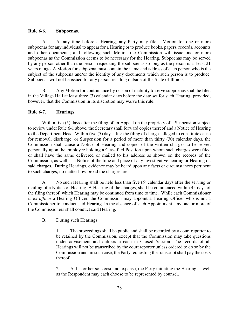#### <span id="page-32-0"></span>**Rule 6-6. Subpoenas.**

A. At any time before a Hearing, any Party may file a Motion for one or more subpoenas for any individual to appear for a Hearing or to produce books, papers, records, accounts and other documents; and following such Motion the Commission will issue one or more subpoenas as the Commission deems to be necessary for the Hearing. Subpoenas may be served by any person other than the person requesting the subpoenas so long as the person is at least 21 years of age. A Motion for subpoena must contain the name and address of each person who is the subject of the subpoena and/or the identity of any documents which such person is to produce. Subpoenas will not be issued for any person residing outside of the State of Illinois.

B. Any Motion for continuance by reason of inability to serve subpoenas shall be filed in the Village Hall at least three (3) calendar days before the date set for such Hearing, provided, however, that the Commission in its discretion may waive this rule.

#### **Rule 6-7. Hearings.**

Within five (5) days after the filing of an Appeal on the propriety of a Suspension subject to review under Rule 6-1 above, the Secretary shall forward copies thereof and a Notice of Hearing to the Department Head. Within five (5) days after the filing of charges alleged to constitute cause for removal, discharge, or Suspension for a period of more than thirty (30) calendar days, the Commission shall cause a Notice of Hearing and copies of the written charges to be served personally upon the employee holding a Classified Position upon whom such charges were filed or shall have the same delivered or mailed to his address as shown on the records of the Commission, as well as a Notice of the time and place of any investigative hearing or Hearing on said charges. During Hearings, evidence may be heard upon any facts or circumstances pertinent to such charges, no matter how broad the charges are.

A. No such Hearing shall be held less than five (5) calendar days after the serving or mailing of a Notice of Hearing. A Hearing of the charges, shall be commenced within 45 days of the filing thereof, which Hearing may be continued from time to time. While each Commissioner is *ex officio* a Hearing Officer, the Commission may appoint a Hearing Officer who is not a Commissioner to conduct said Hearing. In the absence of such Appointment, any one or more of the Commissioners shall conduct said Hearing.

B. During such Hearings:

1. The proceedings shall be public and shall be recorded by a court reporter to be retained by the Commission, except that the Commission may take questions under advisement and deliberate each in Closed Session. The records of all Hearings will not be transcribed by the court reporter unless ordered to do so by the Commission and, in such case, the Party requesting the transcript shall pay the costs thereof.

2. At his or her sole cost and expense, the Party initiating the Hearing as well as the Respondent may each choose to be represented by counsel.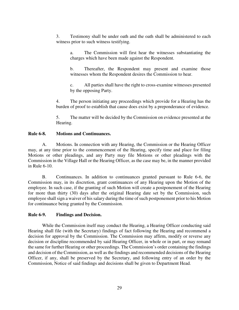<span id="page-33-0"></span>3. Testimony shall be under oath and the oath shall be administered to each witness prior to such witness testifying.

a. The Commission will first hear the witnesses substantiating the charges which have been made against the Respondent.

b. Thereafter, the Respondent may present and examine those witnesses whom the Respondent desires the Commission to hear.

c. All parties shall have the right to cross-examine witnesses presented by the opposing Party.

4. The person initiating any proceedings which provide for a Hearing has the burden of proof to establish that cause does exist by a preponderance of evidence.

5. The matter will be decided by the Commission on evidence presented at the Hearing.

#### **Rule 6-8. Motions and Continuances.**

A. Motions. In connection with any Hearing, the Commission or the Hearing Officer may, at any time prior to the commencement of the Hearing, specify time and place for filing Motions or other pleadings, and any Party may file Motions or other pleadings with the Commission in the Village Hall or the Hearing Officer, as the case may be, in the manner provided in Rule 6-10.

B. Continuances. In addition to continuances granted pursuant to Rule 6-6, the Commission may, in its discretion, grant continuances of any Hearing upon the Motion of the employee. In such case, if the granting of such Motion will create a postponement of the Hearing for more than thirty (30) days after the original Hearing date set by the Commission, such employee shall sign a waiver of his salary during the time of such postponement prior to his Motion for continuance being granted by the Commission.

#### **Rule 6-9. Findings and Decision.**

While the Commission itself may conduct the Hearing, a Hearing Officer conducting said Hearing shall file (with the Secretary) findings of fact following the Hearing and recommend a decision for approval by the Commission. The Commission may affirm, modify or reverse any decision or discipline recommended by said Hearing Officer, in whole or in part, or may remand the same for further Hearing or other proceedings. The Commission's order containing the findings and decision of the Commission, as well as the findings and recommended decisions of the Hearing Officer, if any, shall be preserved by the Secretary, and following entry of an order by the Commission, Notice of said findings and decisions shall be given to Department Head.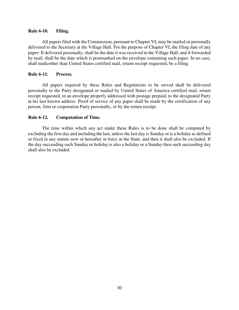#### <span id="page-34-0"></span>**Rule 6-10. Filing.**

All papers filed with the Commission, pursuant to Chapter VI, may be mailed or personally delivered to the Secretary at the Village Hall. For the purpose of Chapter VI, the filing date of any paper: If delivered personally, shall be the date it was received in the Village Hall; and if forwarded by mail, shall be the date which is postmarked on the envelope containing such paper. In no case, shall mail, other than United States certified mail, return receipt requested, be a filing.

#### **Rule 6-11. Process.**

All papers required by these Rules and Regulations to be served shall be delivered personally to the Party designated or mailed by United States of America certified mail, return receipt requested, in an envelope properly addressed with postage prepaid, to the designated Party at his last known address. Proof of service of any paper shall be made by the certification of any person, firm or corporation Party personally, or by the return receipt.

#### **Rule 6-12. Computation of Time.**

The time within which any act under these Rules is to be done shall be computed by excluding the first day and including the last, unless the last day is Sunday or is a holiday as defined or fixed in any statute now or hereafter in force in the State, and then it shall also be excluded. If the day succeeding such Sunday or holiday is also a holiday or a Sunday then such succeeding day shall also be excluded.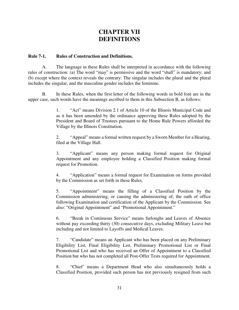## **CHAPTER VII DEFINITIONS**

#### <span id="page-35-0"></span>**Rule 7-1. Rules of Construction and Definitions.**

A. The language in these Rules shall be interpreted in accordance with the following rules of construction: (a) The word "may" is permissive and the word "shall" is mandatory; and (b) except where the context reveals the contrary: The singular includes the plural and the plural includes the singular, and the masculine gender includes the feminine.

B. In these Rules, when the first letter of the following words in bold font are in the upper case, such words have the meanings ascribed to them in this Subsection B, as follows:

> 1. "Act" means Division 2.1 of Article 10 of the Illinois Municipal Code and as it has been amended by the ordinance approving these Rules adopted by the President and Board of Trustees pursuant to the Home Rule Powers afforded the Village by the Illinois Constitution.

> 2. "Appeal" means a formal written request by a Sworn Member for a Hearing, filed at the Village Hall.

> 3. "Applicant" means any person making formal request for Original Appointment and any employee holding a Classified Position making formal request for Promotion.

> 4. "Application" means a formal request for Examination on forms provided by the Commission as set forth in these Rules.

> 5. "Appointment" means the filling of a Classified Position by the Commission administering, or causing the administering of, the oath of office following Examination and certification of the Applicant by the Commission. See also: "Original Appointment" and "Promotional Appointment."

> 6. "Break in Continuous Service" means furloughs and Leaves of Absence without pay exceeding thirty (30) consecutive days, excluding Military Leave but including and not limited to Layoffs and Medical Leaves.

> 7. "Candidate" means an Applicant who has been placed on any Preliminary Eligibility List, Final Eligibility List, Preliminary Promotional List or Final Promotional List and who has received an Offer of Appointment to a Classified Position but who has not completed all Post-Offer Tests required for Appointment.

> 8. "Chief' means a Department Head who also simultaneously holds a Classified Position, provided such person has not previously resigned from such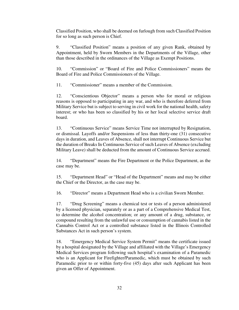Classified Position, who shall be deemed on furlough from such Classified Position for so long as such person is Chief.

9. "Classified Position" means a position of any given Rank, obtained by Appointment, held by Sworn Members in the Departments of the Village, other than those described in the ordinances of the Village as Exempt Positions.

10. "Commission" or "Board of Fire and Police Commissioners" means the Board of Fire and Police Commissioners of the Village.

11. "Commissioner" means a member of the Commission.

12. "Conscientious Objector" means a person who for moral or religious reasons is opposed to participating in any war, and who is therefore deferred from Military Service but is subject to serving in civil work for the national health, safety interest; or who has been so classified by his or her local selective service draft board.

13. "Continuous Service" means Service Time not interrupted by Resignation, or dismissal. Layoffs and/or Suspensions of less than thirty-one (31) consecutive days in duration, and Leaves of Absence, shall not interrupt Continuous Service but the duration of Breaks In Continuous Service of such Leaves of Absence (excluding Military Leave) shall be deducted from the amount of Continuous Service accrued.

14. "Department" means the Fire Department or the Police Department, as the case may be.

15. "Department Head" or "Head of the Department" means and may be either the Chief or the Director, as the case may be.

16. "Director" means a Department Head who is a civilian Sworn Member.

17. "Drug Screening" means a chemical test or tests of a person administered by a licensed physician, separately or as a part of a Comprehensive Medical Test, to determine the alcohol concentration; or any amount of a drug, substance, or compound resulting from the unlawful use or consumption of cannabis listed in the Cannabis Control Act or a controlled substance listed in the Illinois Controlled Substances Act in such person's system.

18. "Emergency Medical Service System Permit" means the certificate issued by a hospital designated by the Village and affiliated with the Village's Emergency Medical Services program following such hospital's examination of a Paramedic who is an Applicant for Firefighter/Paramedic, which must be obtained by such Paramedic prior to or within forty-five (45) days after such Applicant has been given an Offer of Appointment.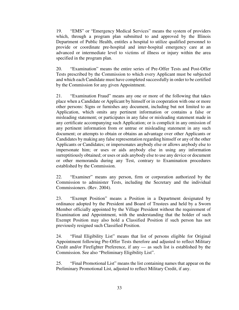19. "EMS" or "Emergency Medical Services" means the system of providers which, through a program plan submitted to and approved by the Illinois Department of Public Health, entitles a hospital to utilize qualified personnel to provide or coordinate pre-hospital and inter-hospital emergency care at an advanced or intermediate level to victims of illness or injury within the area specified in the program plan.

20. "Examination" means the entire series of Pre-Offer Tests and Post-Offer Tests prescribed by the Commission to which every Applicant must be subjected and which each Candidate must have completed successfully in order to be certified by the Commission for any given Appointment.

21. "Examination Fraud" means any one or more of the following that takes place when a Candidate or Applicant by himself or in cooperation with one or more other persons: Signs or furnishes any document, including but not limited to an Application, which omits any pertinent information or contains a false or misleading statement; or participates in any false or misleading statement made in any certificate accompanying such Application; or is complicit in any omission of any pertinent information from or untrue or misleading statement in any such document; or attempts to obtain or obtains an advantage over other Applicants or Candidates by making any false representation regarding himself or any of the other Applicants or Candidates; or impersonates anybody else or allows anybody else to impersonate him; or uses or aids anybody else in using any information surreptitiously obtained; or uses or aids anybody else to use any device or document or other memoranda during any Test, contrary to Examination procedures established by the Commission.

22. "Examiner" means any person, firm or corporation authorized by the Commission to administer Tests, including the Secretary and the individual Commissioners. (Rev. 2004).

23. "Exempt Position" means a Position in a Department designated by ordinance adopted by the President and Board of Trustees and held by a Sworn Member officially appointed by the Village President without the requirement of Examination and Appointment, with the understanding that the holder of such Exempt Position may also hold a Classified Position if such person has not previously resigned such Classified Position.

24. "Final Eligibility List" means that list of persons eligible for Original Appointment following Pre-Offer Tests therefore and adjusted to reflect Military Credit and/or Firefighter Preference, if any — as such list is established by the Commission. See also "Preliminary Eligibility List".

25. "Final Promotional List" means the list containing names that appear on the Preliminary Promotional List, adjusted to reflect Military Credit, if any.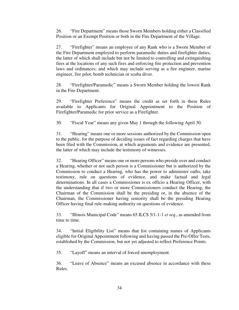26. "Fire Department" means those Sworn Members holding either a Classified Position or an Exempt Position or both in the Fire Department of the Village.

27. "Firefighter" means an employee of any Rank who is a Sworn Member of the Fire Department employed to perform paramedic duties and firefighter duties, the latter of which shall include but not be limited to controlling and extinguishing fires at the locations of any such fires and enforcing fire protection and prevention laws and ordinances; and which may include serving as a fire engineer, marine engineer, fire pilot, bomb technician or scuba diver.

28. "Firefighter/Paramedic" means a Sworn Member holding the lowest Rank in the Fire Department.

29. "Firefighter Preference" means the credit as set forth in these Rules available to Applicants for Original Appointment to the Position of Firefighter/Paramedic for prior service as a Firefighter.

30. "Fiscal Year" means any given May 1 through the following April 30.

31. "Hearing" means one or more sessions authorized by the Commission open to the public, for the purpose of deciding issues of fact regarding charges that have been filed with the Commission, at which arguments and evidence are presented, the latter of which may include the testimony of witnesses.

32. "Hearing Officer" means one or more persons who preside over and conduct a Hearing, whether or not such person is a Commissioner but is authorized by the Commission to conduct a Hearing, who has the power to administer oaths, take testimony, rule on questions of evidence, and make factual and legal determinations. In all cases a Commissioner is ex officio a Hearing Officer, with the understanding that if two or more Commissioners conduct the Hearing, the Chairman of the Commission shall be the presiding or, in the absence of the Chairman, the Commissioner having seniority shall be the presiding Hearing Officer having final rule-making authority on questions of evidence.

33. "Illinois Municipal Code" means 65 ILCS 5/1-1-1 *et seq*., as amended from time to time.

34. "Initial Eligibility List" means that list containing names of Applicants eligible for Original Appointment following and having passed the Pre-Offer Tests, established by the Commission, but not yet adjusted to reflect Preference Points.

35. "Layoff" means an interval of forced unemployment.

36. "Leave of Absence" means an excused absence in accordance with these Rules.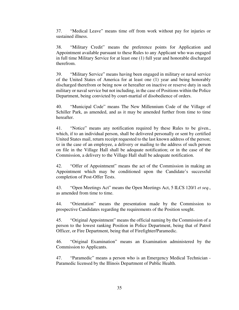37. "Medical Leave" means time off from work without pay for injuries or sustained illness.

38. "Military Credit" means the preference points for Application and Appointment available pursuant to these Rules to any Applicant who was engaged in full time Military Service for at least one (1) full year and honorable discharged therefrom.

39. "Military Service" means having been engaged in military or naval service of the United States of America for at least one (1) year and being honorably discharged therefrom or being now or hereafter on inactive or reserve duty in such military or naval service but not including, in the case of Positions within the Police Department, being convicted by court-martial of disobedience of orders.

40. "Municipal Code" means The New Millennium Code of the Village of Schiller Park, as amended, and as it may be amended further from time to time hereafter.

41. "Notice" means any notification required by these Rules to be given., which, if to an individual person, shall be delivered personally or sent by certified United States mail, return receipt requested to the last known address of the person; or in the case of an employee, a delivery or mailing to the address of such person on file in the Village Hall shall be adequate notification; or in the case of the Commission, a delivery to the Village Hall shall be adequate notification.

42. "Offer of Appointment" means the act of the Commission in making an Appointment which may be conditioned upon the Candidate's successful completion of Post-Offer Tests.

43. "Open Meetings Act" means the Open Meetings Act, 5 ILCS 120/1 *et seq*., as amended from time to time.

44. "Orientation" means the presentation made by the Commission to prospective Candidates regarding the requirements of the Position sought.

45. "Original Appointment" means the official naming by the Commission of a person to the lowest ranking Position in Police Department, being that of Patrol Officer, or Fire Department, being that of Firefighter/Paramedic.

46. "Original Examination" means an Examination administered by the Commission to Applicants.

47. "Paramedic" means a person who is an Emergency Medical Technician - Paramedic licensed by the Illinois Department of Public Health.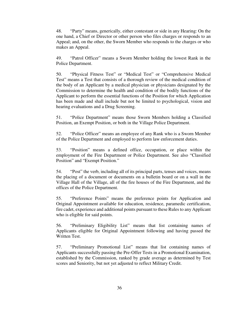48. "Party" means, generically, either contestant or side in any Hearing: On the one hand, a Chief or Director or other person who files charges or responds to an Appeal; and, on the other, the Sworn Member who responds to the charges or who makes an Appeal.

49. "Patrol Officer" means a Sworn Member holding the lowest Rank in the Police Department.

50. "Physical Fitness Test" or "Medical Test" or "Comprehensive Medical Test" means a Test that consists of a thorough review of the medical condition of the body of an Applicant by a medical physician or physicians designated by the Commission to determine the health and condition of the bodily functions of the Applicant to perform the essential functions of the Position for which Application has been made and shall include but not be limited to psychological, vision and hearing evaluations and a Drug Screening.

51. "Police Department" means those Sworn Members holding a Classified Position, an Exempt Position, or both in the Village Police Department.

52. "Police Officer" means an employee of any Rank who is a Sworn Member of the Police Department and employed to perform law enforcement duties.

53. "Position" means a defined office, occupation, or place within the employment of the Fire Department or Police Department. See also "Classified Position" and "Exempt Position."

54. "Post" the verb, including all of its principal parts, tenses and voices, means the placing of a document or documents on a bulletin board or on a wall in the Village Hall of the Village, all of the fire houses of the Fire Department, and the offices of the Police Department.

55. "Preference Points" means the preference points for Application and Original Appointment available for education, residence, paramedic certification, fire cadet, experience and additional points pursuant to these Rules to any Applicant who is eligible for said points.

56. "Preliminary Eligibility List" means that list containing names of Applicants eligible for Original Appointment following and having passed the Written Test.

57. "Preliminary Promotional List" means that list containing names of Applicants successfully passing the Pre-Offer Tests in a Promotional Examination, established by the Commission, ranked by grade average as determined by Test scores and Seniority, but not yet adjusted to reflect Military Credit.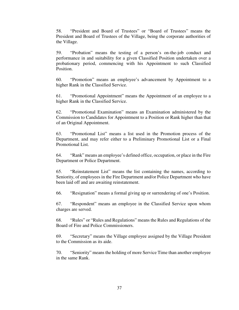58. "President and Board of Trustees" or "Board of Trustees" means the President and Board of Trustees of the Village, being the corporate authorities of the Village.

59. "Probation" means the testing of a person's on-the-job conduct and performance in and suitability for a given Classified Position undertaken over a probationary period, commencing with his Appointment to such Classified Position.

60. "Promotion" means an employee's advancement by Appointment to a higher Rank in the Classified Service.

61. "Promotional Appointment" means the Appointment of an employee to a higher Rank in the Classified Service.

62. "Promotional Examination" means an Examination administered by the Commission to Candidates for Appointment to a Position or Rank higher than that of an Original Appointment.

63. "Promotional List" means a list used in the Promotion process of the Department, and may refer either to a Preliminary Promotional List or a Final Promotional List.

64. "Rank" means an employee's defined office, occupation, or place in the Fire Department or Police Department.

65. "Reinstatement List" means the list containing the names, according to Seniority, of employees in the Fire Department and/or Police Department who have been laid off and are awaiting reinstatement.

66. "Resignation" means a formal giving up or surrendering of one's Position.

67. "Respondent" means an employee in the Classified Service upon whom charges are served.

68. "Rules" or "Rules and Regulations" means the Rules and Regulations of the Board of Fire and Police Commissioners.

69. "Secretary" means the Village employee assigned by the Village President to the Commission as its aide.

70. "Seniority" means the holding of more Service Time than another employee in the same Rank.